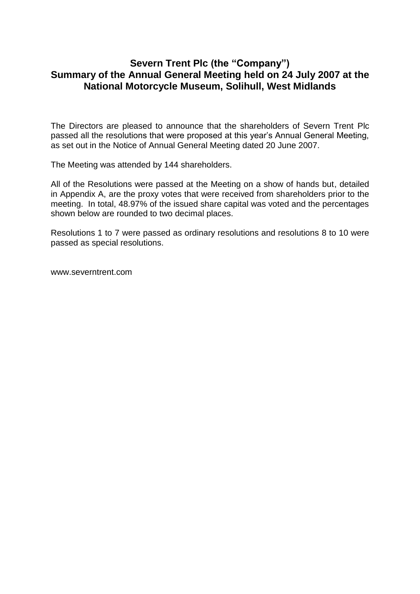## **Severn Trent Plc (the "Company") Summary of the Annual General Meeting held on 24 July 2007 at the National Motorcycle Museum, Solihull, West Midlands**

The Directors are pleased to announce that the shareholders of Severn Trent Plc passed all the resolutions that were proposed at this year's Annual General Meeting, as set out in the Notice of Annual General Meeting dated 20 June 2007.

The Meeting was attended by 144 shareholders.

All of the Resolutions were passed at the Meeting on a show of hands but, detailed in Appendix A, are the proxy votes that were received from shareholders prior to the meeting. In total, 48.97% of the issued share capital was voted and the percentages shown below are rounded to two decimal places.

Resolutions 1 to 7 were passed as ordinary resolutions and resolutions 8 to 10 were passed as special resolutions.

www.severntrent.com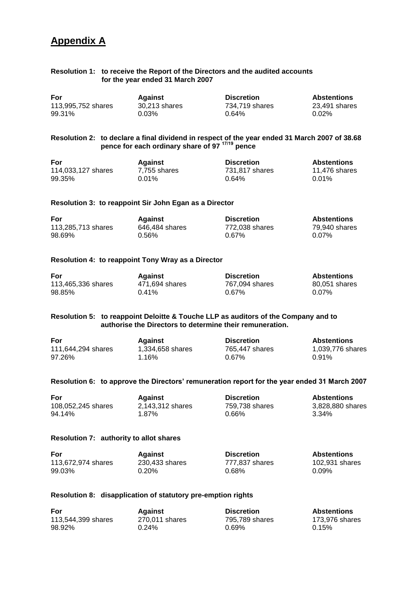# **Appendix A**

#### **Resolution 1: to receive the Report of the Directors and the audited accounts for the year ended 31 March 2007**

| For                | <b>Against</b> | <b>Discretion</b> | <b>Abstentions</b> |
|--------------------|----------------|-------------------|--------------------|
| 113,995,752 shares | 30.213 shares  | 734.719 shares    | 23.491 shares      |
| 99.31%             | 0.03%          | 0.64%             | $0.02\%$           |

#### **Resolution 2: to declare a final dividend in respect of the year ended 31 March 2007 of 38.68 pence for each ordinary share of 97 17/19 pence**

| For                | <b>Against</b> | <b>Discretion</b> | <b>Abstentions</b> |
|--------------------|----------------|-------------------|--------------------|
| 114,033,127 shares | 7.755 shares   | 731.817 shares    | 11.476 shares      |
| 99.35%             | $0.01\%$       | 0.64%             | 0.01%              |

#### **Resolution 3: to reappoint Sir John Egan as a Director**

| For                | <b>Against</b> | <b>Discretion</b> | Abstentions   |
|--------------------|----------------|-------------------|---------------|
| 113,285,713 shares | 646.484 shares | 772,038 shares    | 79,940 shares |
| 98.69%             | 0.56%          | $0.67\%$          | $0.07\%$      |

#### **Resolution 4: to reappoint Tony Wray as a Director**

| For                | <b>Against</b> | <b>Discretion</b> | <b>Abstentions</b> |
|--------------------|----------------|-------------------|--------------------|
| 113,465,336 shares | 471.694 shares | 767.094 shares    | 80,051 shares      |
| 98.85%             | $0.41\%$       | $0.67\%$          | $0.07\%$           |

#### **Resolution 5: to reappoint Deloitte & Touche LLP as auditors of the Company and to authorise the Directors to determine their remuneration.**

| For                | <b>Against</b>   | <b>Discretion</b> | <b>Abstentions</b> |
|--------------------|------------------|-------------------|--------------------|
| 111,644,294 shares | 1.334.658 shares | 765.447 shares    | 1,039,776 shares   |
| 97.26%             | 1.16%            | 0.67%             | $0.91\%$           |

#### **Resolution 6: to approve the Directors' remuneration report for the year ended 31 March 2007**

| For                | Aqainst          | <b>Discretion</b> | <b>Abstentions</b> |
|--------------------|------------------|-------------------|--------------------|
| 108,052,245 shares | 2.143.312 shares | 759,738 shares    | 3,828,880 shares   |
| 94.14%             | 1.87%            | $0.66\%$          | $3.34\%$           |

#### **Resolution 7: authority to allot shares**

| For                | <b>Against</b> | <b>Discretion</b> | <b>Abstentions</b> |
|--------------------|----------------|-------------------|--------------------|
| 113,672,974 shares | 230,433 shares | 777.837 shares    | 102,931 shares     |
| 99.03%             | $0.20\%$       | 0.68%             | 0.09%              |

#### **Resolution 8: disapplication of statutory pre-emption rights**

| For                | <b>Against</b> | <b>Discretion</b> | <b>Abstentions</b> |
|--------------------|----------------|-------------------|--------------------|
| 113,544,399 shares | 270.011 shares | 795,789 shares    | 173.976 shares     |
| 98.92%             | $0.24\%$       | $0.69\%$          | 0.15%              |